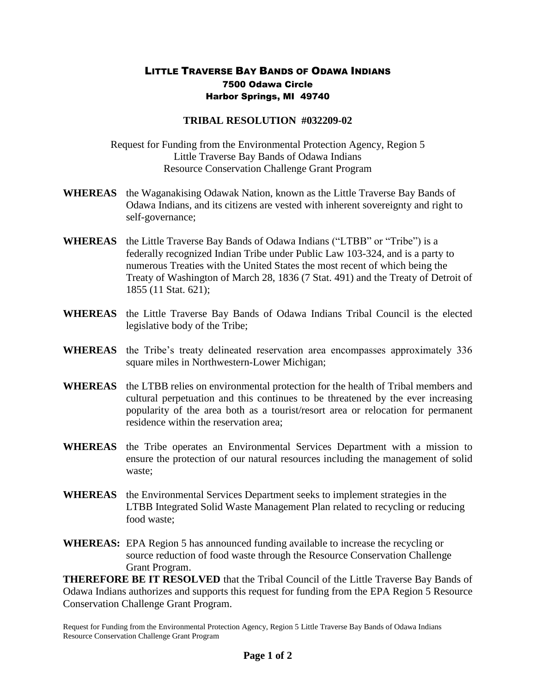## LITTLE TRAVERSE BAY BANDS OF ODAWA INDIANS 7500 Odawa Circle Harbor Springs, MI 49740

## **TRIBAL RESOLUTION #032209-02**

Request for Funding from the Environmental Protection Agency, Region 5 Little Traverse Bay Bands of Odawa Indians Resource Conservation Challenge Grant Program

- **WHEREAS** the Waganakising Odawak Nation, known as the Little Traverse Bay Bands of Odawa Indians, and its citizens are vested with inherent sovereignty and right to self-governance;
- **WHEREAS** the Little Traverse Bay Bands of Odawa Indians ("LTBB" or "Tribe") is a federally recognized Indian Tribe under Public Law 103-324, and is a party to numerous Treaties with the United States the most recent of which being the Treaty of Washington of March 28, 1836 (7 Stat. 491) and the Treaty of Detroit of 1855 (11 Stat. 621);
- **WHEREAS** the Little Traverse Bay Bands of Odawa Indians Tribal Council is the elected legislative body of the Tribe;
- **WHEREAS** the Tribe's treaty delineated reservation area encompasses approximately 336 square miles in Northwestern-Lower Michigan;
- **WHEREAS** the LTBB relies on environmental protection for the health of Tribal members and cultural perpetuation and this continues to be threatened by the ever increasing popularity of the area both as a tourist/resort area or relocation for permanent residence within the reservation area;
- **WHEREAS** the Tribe operates an Environmental Services Department with a mission to ensure the protection of our natural resources including the management of solid waste;
- **WHEREAS** the Environmental Services Department seeks to implement strategies in the LTBB Integrated Solid Waste Management Plan related to recycling or reducing food waste;
- **WHEREAS:** EPA Region 5 has announced funding available to increase the recycling or source reduction of food waste through the Resource Conservation Challenge Grant Program.

**THEREFORE BE IT RESOLVED** that the Tribal Council of the Little Traverse Bay Bands of Odawa Indians authorizes and supports this request for funding from the EPA Region 5 Resource Conservation Challenge Grant Program.

Request for Funding from the Environmental Protection Agency, Region 5 Little Traverse Bay Bands of Odawa Indians Resource Conservation Challenge Grant Program